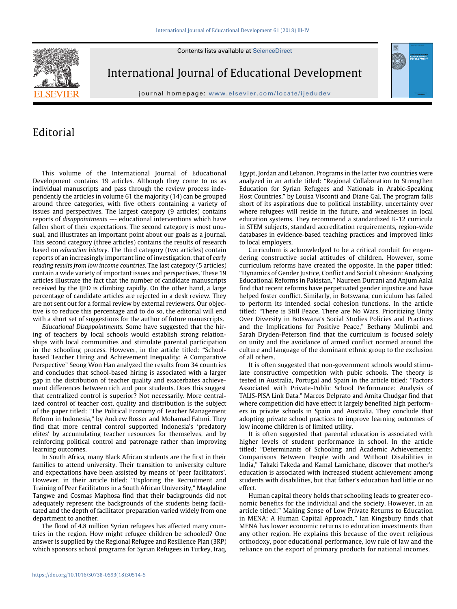Contents lists available at ScienceDirect



International Journal of Educational Development

journal homepage: www.elsevier.com/locate/ijedudev

# Editorial

This volume of the International Journal of Educational Development contains 19 articles. Although they come to us as individual manuscripts and pass through the review process independently the articles in volume 61 the majority (14) can be grouped around three categories, with five others containing a variety of issues and perspectives. The largest category (9 articles) contains reports of *disappointments* --- educational interventions which have fallen short of their expectations. The second category is most unusual, and illustrates an important point about our goals as a journal. This second category (three articles) contains the results of research based on *education history*. The third category (two articles) contain reports of an increasingly important line of investigation, that of *early reading results from low income countries*. The last category (5 articles) contain a wide variety of important issues and perspectives. These 19 articles illustrate the fact that the number of candidate manuscripts received by the IJED is climbing rapidly. On the other hand, a large percentage of candidate articles are rejected in a desk review. They are not sent out for a formal review by external reviewers. Our objective is to reduce this percentage and to do so, the editorial will end with a short set of suggestions for the author of future manuscripts.

*Educational Disappointments.* Some have suggested that the hiring of teachers by local schools would establish strong relationships with local communities and stimulate parental participation in the schooling process. However, in the article titled: "Schoolbased Teacher Hiring and Achievement Inequality: A Comparative Perspective" Seong Won Han analyzed the results from 34 countries and concludes that school-based hiring is associated with a larger gap in the distribution of teacher quality and exacerbates achievement differences between rich and poor students. Does this suggest that centralized control is superior? Not necessarily. More centralized control of teacher cost, quality and distribution is the subject of the paper titled: "The Political Economy of Teacher Management Reform in Indonesia," by Andrew Rosser and Mohamad Fahmi. They find that more central control supported Indonesia's 'predatory elites' by accumulating teacher resources for themselves, and by reinforcing political control and patronage rather than improving learning outcomes.

In South Africa, many Black African students are the first in their families to attend university. Their transition to university culture and expectations have been assisted by means of 'peer facilitators'. However, in their article titled: "Exploring the Recruitment and Training of Peer Facilitators in a South African University," Magdaline Tangwe and Cosmas Maphosa find that their backgrounds did not adequately represent the backgrounds of the students being facilitated and the depth of facilitator preparation varied widely from one department to another.

The flood of 4.8 million Syrian refugees has affected many countries in the region. How might refugee children be schooled? One answer is supplied by the Regional Refugee and Resilience Plan (3RP) which sponsors school programs for Syrian Refugees in Turkey, Iraq, Egypt, Jordan and Lebanon. Programs in the latter two countries were analyzed in an article titled: "Regional Collaboration to Strengthen Education for Syrian Refugees and Nationals in Arabic-Speaking Host Countries," by Louisa Visconti and Diane Gal. The program falls short of its aspirations due to political instability, uncertainty over where refugees will reside in the future, and weaknesses in local education systems. They recommend a standardized K-12 curricula in STEM subjects, standard accreditation requirements, region-wide databases in evidence-based teaching practices and improved links to local employers.

Curriculum is acknowledged to be a critical conduit for engendering constructive social attitudes of children. However, some curriculum reforms have created the opposite. In the paper titled: "Dynamics of Gender Justice, Conflict and Social Cohesion: Analyzing Educational Reforms in Pakistan," Naureen Durrani and Anjum Aalai find that recent reforms have perpetuated gender injustice and have helped foster conflict. Similarly, in Botswana, curriculum has failed to perform its intended social cohesion functions. In the article titled: "There is Still Peace. There are No Wars. Prioritizing Unity Over Diversity in Botswana's Social Studies Policies and Practices and the Implications for Positive Peace," Bethany Mulimbi and Sarah Dryden-Peterson find that the curriculum is focused solely on unity and the avoidance of armed conflict normed around the culture and language of the dominant ethnic group to the exclusion of all others.

It is often suggested that non-government schools would stimulate constructive competition with pubic schools. The theory is tested in Australia, Portugal and Spain in the article titled: "Factors Associated with Private-Public School Performance: Analysis of TALIS-PISA Link Data," Marcos Delprato and Amita Chudgar find that where competition did have effect it largely benefited high performers in private schools in Spain and Australia. They conclude that adopting private school practices to improve learning outcomes of low income children is of limited utility.

It is often suggested that parental education is associated with higher levels of student performance in school. In the article titled: "Determinants of Schooling and Academic Achievements: Comparisons Between People with and Without Disabilities in India," Takaki Takeda and Kamal Lamichane, discover that mother's education is associated with increased student achievement among students with disabilities, but that father's education had little or no effect.

Human capital theory holds that schooling leads to greater economic benefits for the individual and the society. However, in an article titled:" Making Sense of Low Private Returns to Education in MENA: A Human Capital Approach," Ian Kingsbury finds that MENA has lower economic returns to education investments than any other region. He explains this because of the overt religious orthodoxy, poor educational performance, low rule of law and the reliance on the export of primary products for national incomes.